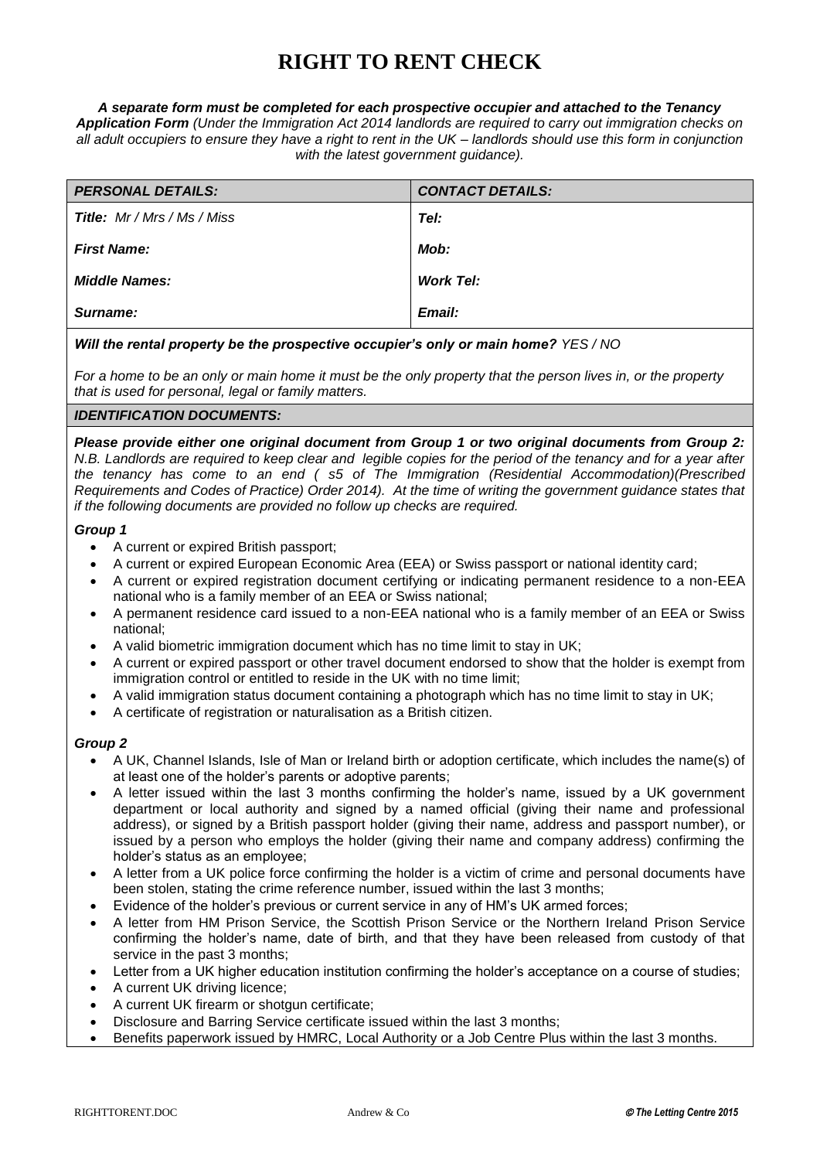# **RIGHT TO RENT CHECK**

#### *A separate form must be completed for each prospective occupier and attached to the Tenancy*

*Application Form (Under the Immigration Act 2014 landlords are required to carry out immigration checks on all adult occupiers to ensure they have a right to rent in the UK – landlords should use this form in conjunction with the latest government guidance).*

| <b>PERSONAL DETAILS:</b>    | <b>CONTACT DETAILS:</b> |
|-----------------------------|-------------------------|
| Title: Mr / Mrs / Ms / Miss | Tel:                    |
| <b>First Name:</b>          | Mob:                    |
| <b>Middle Names:</b>        | <b>Work Tel:</b>        |
| Surname:                    | Email:                  |

## *Will the rental property be the prospective occupier's only or main home? YES / NO*

*For a home to be an only or main home it must be the only property that the person lives in, or the property that is used for personal, legal or family matters.* 

# *IDENTIFICATION DOCUMENTS:*

*Please provide either one original document from Group 1 or two original documents from Group 2: N.B. Landlords are required to keep clear and legible copies for the period of the tenancy and for a year after the tenancy has come to an end ( s5 of The Immigration (Residential Accommodation)(Prescribed Requirements and Codes of Practice) Order 2014). At the time of writing the government guidance states that if the following documents are provided no follow up checks are required.*

#### *Group 1*

- A current or expired British passport;
- A current or expired European Economic Area (EEA) or Swiss passport or national identity card;
- A current or expired registration document certifying or indicating permanent residence to a non-EEA national who is a family member of an EEA or Swiss national;
- A permanent residence card issued to a non-EEA national who is a family member of an EEA or Swiss national;
- A valid biometric immigration document which has no time limit to stay in UK;
- A current or expired passport or other travel document endorsed to show that the holder is exempt from immigration control or entitled to reside in the UK with no time limit;
- A valid immigration status document containing a photograph which has no time limit to stay in UK;
- A certificate of registration or naturalisation as a British citizen.

#### *Group 2*

- A UK, Channel Islands, Isle of Man or Ireland birth or adoption certificate, which includes the name(s) of at least one of the holder's parents or adoptive parents;
- A letter issued within the last 3 months confirming the holder's name, issued by a UK government department or local authority and signed by a named official (giving their name and professional address), or signed by a British passport holder (giving their name, address and passport number), or issued by a person who employs the holder (giving their name and company address) confirming the holder's status as an employee;
- A letter from a UK police force confirming the holder is a victim of crime and personal documents have been stolen, stating the crime reference number, issued within the last 3 months;
- Evidence of the holder's previous or current service in any of HM's UK armed forces;
- A letter from HM Prison Service, the Scottish Prison Service or the Northern Ireland Prison Service confirming the holder's name, date of birth, and that they have been released from custody of that service in the past 3 months;
- Letter from a UK higher education institution confirming the holder's acceptance on a course of studies;
- A current UK driving licence;
- A current UK firearm or shotgun certificate;
- Disclosure and Barring Service certificate issued within the last 3 months;
- Benefits paperwork issued by HMRC, Local Authority or a Job Centre Plus within the last 3 months.